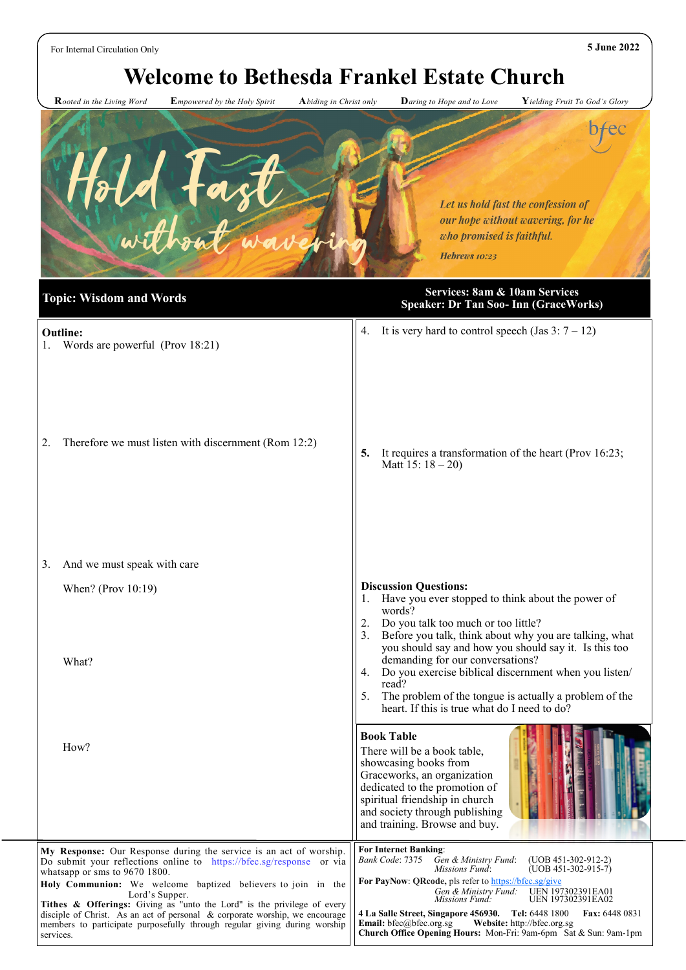For Internal Circulation Only **5 June 2022**

services.

# **Welcome to Bethesda Frankel Estate Church**

 **R***ooted in the Living Word* **E***mpowered by the Holy Spirit* **A***biding in Christ only* **D***aring to Hope and to Love* **Y***ielding Fruit To God's Glory*